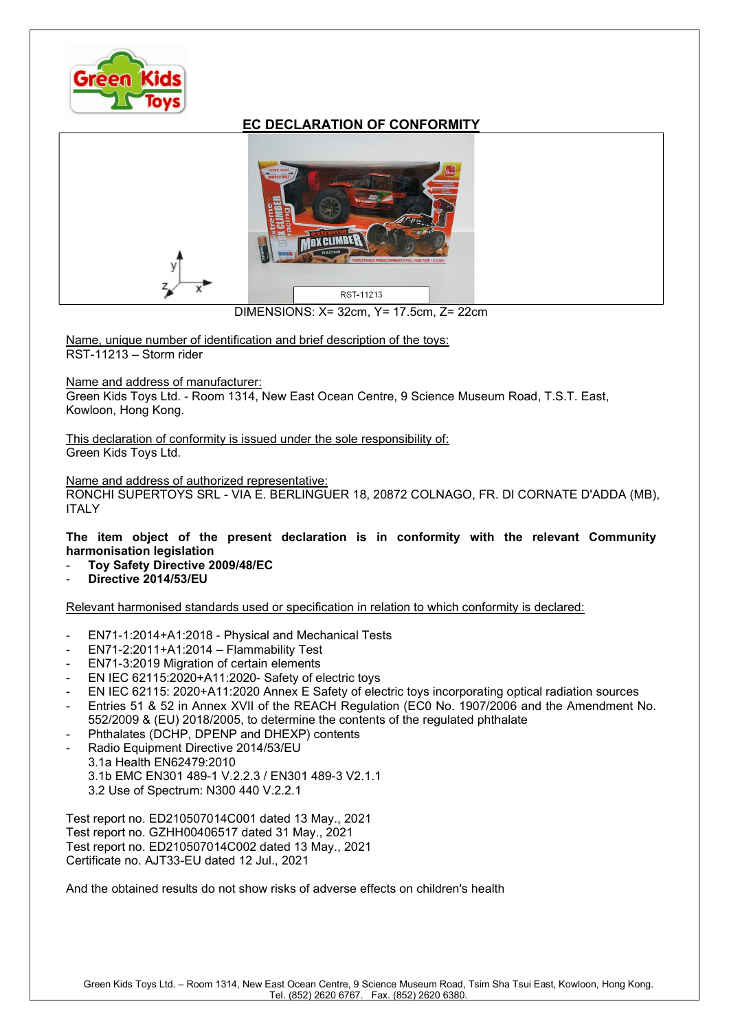

## EC DECLARATION OF CONFORMITY



DIMENSIONS: X= 32cm, Y= 17.5cm, Z= 22cm

Name, unique number of identification and brief description of the toys: RST-11213 – Storm rider

## Name and address of manufacturer:

Green Kids Toys Ltd. - Room 1314, New East Ocean Centre, 9 Science Museum Road, T.S.T. East, Kowloon, Hong Kong.

This declaration of conformity is issued under the sole responsibility of: Green Kids Toys Ltd.

## Name and address of authorized representative:

RONCHI SUPERTOYS SRL - VIA E. BERLINGUER 18, 20872 COLNAGO, FR. DI CORNATE D'ADDA (MB), ITALY

The item object of the present declaration is in conformity with the relevant Community harmonisation legislation

- Toy Safety Directive 2009/48/EC
- Directive 2014/53/EU

Relevant harmonised standards used or specification in relation to which conformity is declared:

- EN71-1:2014+A1:2018 Physical and Mechanical Tests
- EN71-2:2011+A1:2014 Flammability Test
- EN71-3:2019 Migration of certain elements
- EN IEC 62115:2020+A11:2020- Safety of electric toys
- EN IEC 62115: 2020+A11:2020 Annex E Safety of electric toys incorporating optical radiation sources
- Entries 51 & 52 in Annex XVII of the REACH Regulation (EC0 No. 1907/2006 and the Amendment No. 552/2009 & (EU) 2018/2005, to determine the contents of the regulated phthalate
- Phthalates (DCHP, DPENP and DHEXP) contents
- Radio Equipment Directive 2014/53/EU 3.1a Health EN62479:2010 3.1b EMC EN301 489-1 V.2.2.3 / EN301 489-3 V2.1.1 3.2 Use of Spectrum: N300 440 V.2.2.1

Test report no. ED210507014C001 dated 13 May., 2021 Test report no. GZHH00406517 dated 31 May., 2021 Test report no. ED210507014C002 dated 13 May., 2021 Certificate no. AJT33-EU dated 12 Jul., 2021

And the obtained results do not show risks of adverse effects on children's health